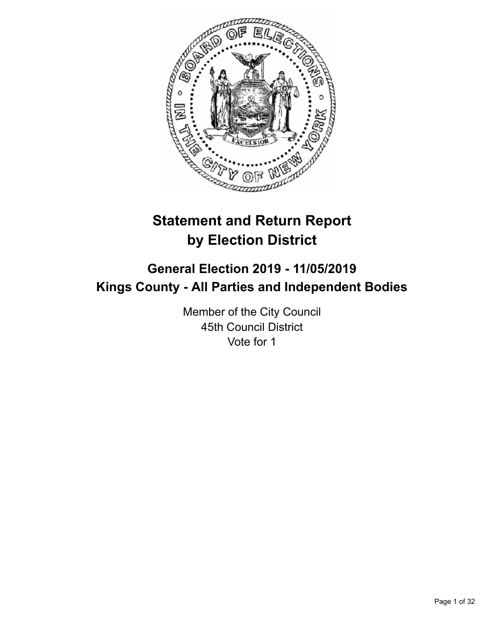

# **Statement and Return Report by Election District**

# **General Election 2019 - 11/05/2019 Kings County - All Parties and Independent Bodies**

Member of the City Council 45th Council District Vote for 1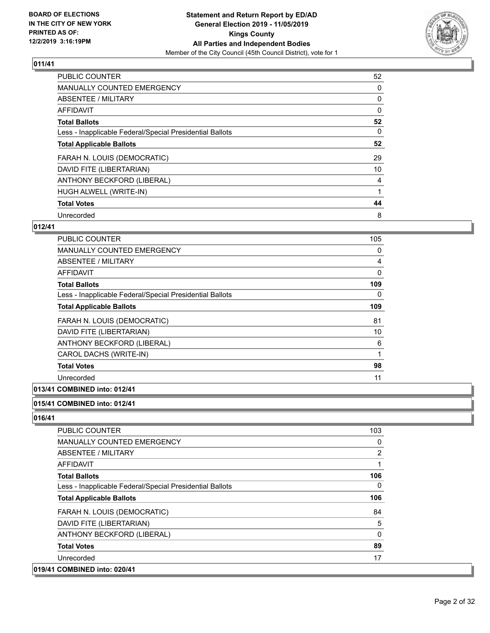

| <b>PUBLIC COUNTER</b>                                    | 52 |
|----------------------------------------------------------|----|
| <b>MANUALLY COUNTED EMERGENCY</b>                        | 0  |
| ABSENTEE / MILITARY                                      | 0  |
| <b>AFFIDAVIT</b>                                         | 0  |
| <b>Total Ballots</b>                                     | 52 |
| Less - Inapplicable Federal/Special Presidential Ballots | 0  |
| <b>Total Applicable Ballots</b>                          | 52 |
| FARAH N. LOUIS (DEMOCRATIC)                              | 29 |
| DAVID FITE (LIBERTARIAN)                                 | 10 |
| ANTHONY BECKFORD (LIBERAL)                               | 4  |
| HUGH ALWELL (WRITE-IN)                                   |    |
| <b>Total Votes</b>                                       | 44 |
| Unrecorded                                               | 8  |

## **012/41**

| PUBLIC COUNTER                                           | 105 |
|----------------------------------------------------------|-----|
| <b>MANUALLY COUNTED EMERGENCY</b>                        | 0   |
| ABSENTEE / MILITARY                                      | 4   |
| AFFIDAVIT                                                | 0   |
| <b>Total Ballots</b>                                     | 109 |
| Less - Inapplicable Federal/Special Presidential Ballots | 0   |
| <b>Total Applicable Ballots</b>                          | 109 |
| FARAH N. LOUIS (DEMOCRATIC)                              | 81  |
| DAVID FITE (LIBERTARIAN)                                 | 10  |
| ANTHONY BECKFORD (LIBERAL)                               | 6   |
| CAROL DACHS (WRITE-IN)                                   | 1   |
| <b>Total Votes</b>                                       | 98  |
| Unrecorded                                               | 11  |
|                                                          |     |

# **013/41 COMBINED into: 012/41**

#### **015/41 COMBINED into: 012/41**

| Unrecorded<br>019/41 COMBINED into: 020/41               | 17             |
|----------------------------------------------------------|----------------|
| <b>Total Votes</b>                                       | 89             |
| ANTHONY BECKFORD (LIBERAL)                               | $\Omega$       |
| DAVID FITE (LIBERTARIAN)                                 | 5              |
| FARAH N. LOUIS (DEMOCRATIC)                              | 84             |
| <b>Total Applicable Ballots</b>                          | 106            |
| Less - Inapplicable Federal/Special Presidential Ballots | $\Omega$       |
| <b>Total Ballots</b>                                     | 106            |
| AFFIDAVIT                                                | 1              |
| ABSENTEE / MILITARY                                      | $\overline{2}$ |
| <b>MANUALLY COUNTED EMERGENCY</b>                        | 0              |
| <b>PUBLIC COUNTER</b>                                    | 103            |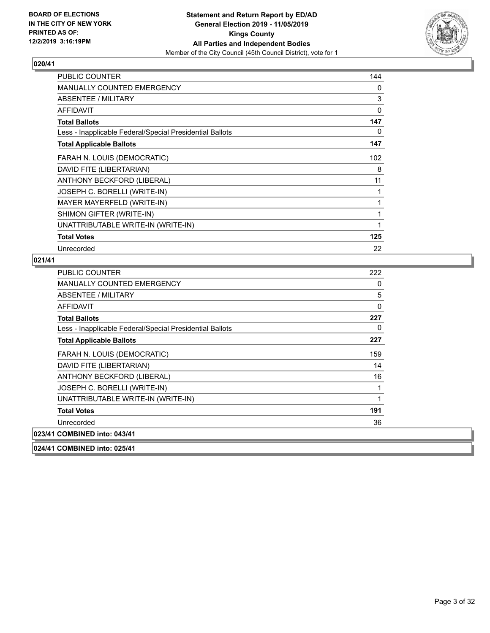

| <b>PUBLIC COUNTER</b>                                    | 144 |
|----------------------------------------------------------|-----|
| <b>MANUALLY COUNTED EMERGENCY</b>                        | 0   |
| ABSENTEE / MILITARY                                      | 3   |
| <b>AFFIDAVIT</b>                                         | 0   |
| <b>Total Ballots</b>                                     | 147 |
| Less - Inapplicable Federal/Special Presidential Ballots | 0   |
| <b>Total Applicable Ballots</b>                          | 147 |
| FARAH N. LOUIS (DEMOCRATIC)                              | 102 |
| DAVID FITE (LIBERTARIAN)                                 | 8   |
| ANTHONY BECKFORD (LIBERAL)                               | 11  |
| JOSEPH C. BORELLI (WRITE-IN)                             |     |
| MAYER MAYERFELD (WRITE-IN)                               | 1   |
| SHIMON GIFTER (WRITE-IN)                                 | 1   |
| UNATTRIBUTABLE WRITE-IN (WRITE-IN)                       | 1   |
| <b>Total Votes</b>                                       | 125 |
| Unrecorded                                               | 22  |

| PUBLIC COUNTER                                           | 222 |
|----------------------------------------------------------|-----|
| <b>MANUALLY COUNTED EMERGENCY</b>                        | 0   |
| ABSENTEE / MILITARY                                      | 5   |
| AFFIDAVIT                                                | 0   |
| <b>Total Ballots</b>                                     | 227 |
| Less - Inapplicable Federal/Special Presidential Ballots | 0   |
| <b>Total Applicable Ballots</b>                          | 227 |
| FARAH N. LOUIS (DEMOCRATIC)                              | 159 |
| DAVID FITE (LIBERTARIAN)                                 | 14  |
| ANTHONY BECKFORD (LIBERAL)                               | 16  |
| JOSEPH C. BORELLI (WRITE-IN)                             | 1   |
| UNATTRIBUTABLE WRITE-IN (WRITE-IN)                       | 1   |
| <b>Total Votes</b>                                       | 191 |
| Unrecorded                                               | 36  |
| 023/41 COMBINED into: 043/41                             |     |
| 024/41 COMBINED into: 025/41                             |     |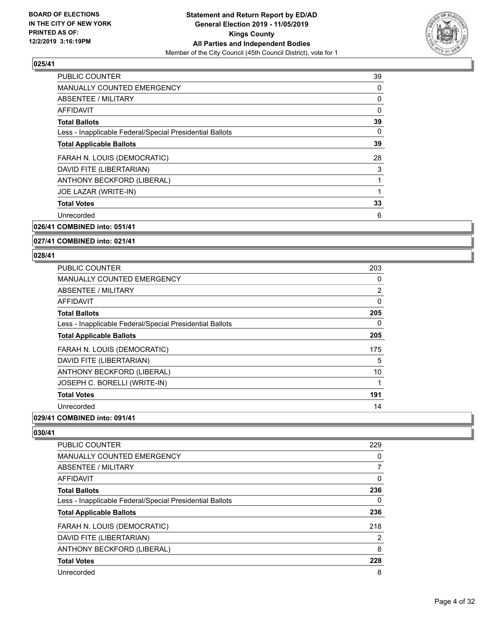

| <b>PUBLIC COUNTER</b>                                    | 39       |
|----------------------------------------------------------|----------|
| <b>MANUALLY COUNTED EMERGENCY</b>                        | 0        |
| ABSENTEE / MILITARY                                      | 0        |
| <b>AFFIDAVIT</b>                                         | $\Omega$ |
| <b>Total Ballots</b>                                     | 39       |
| Less - Inapplicable Federal/Special Presidential Ballots | 0        |
| <b>Total Applicable Ballots</b>                          | 39       |
| FARAH N. LOUIS (DEMOCRATIC)                              | 28       |
| DAVID FITE (LIBERTARIAN)                                 | 3        |
| ANTHONY BECKFORD (LIBERAL)                               | 1        |
| JOE LAZAR (WRITE-IN)                                     |          |
| <b>Total Votes</b>                                       | 33       |
| Unrecorded                                               | 6        |
|                                                          |          |

**026/41 COMBINED into: 051/41**

**027/41 COMBINED into: 021/41**

#### **028/41**

| <b>PUBLIC COUNTER</b>                                    | 203 |
|----------------------------------------------------------|-----|
| <b>MANUALLY COUNTED EMERGENCY</b>                        | 0   |
| ABSENTEE / MILITARY                                      | 2   |
| <b>AFFIDAVIT</b>                                         | 0   |
| <b>Total Ballots</b>                                     | 205 |
| Less - Inapplicable Federal/Special Presidential Ballots | 0   |
| <b>Total Applicable Ballots</b>                          | 205 |
| FARAH N. LOUIS (DEMOCRATIC)                              | 175 |
| DAVID FITE (LIBERTARIAN)                                 | 5   |
| ANTHONY BECKFORD (LIBERAL)                               | 10  |
| JOSEPH C. BORELLI (WRITE-IN)                             |     |
| <b>Total Votes</b>                                       | 191 |
| Unrecorded                                               | 14  |

# **029/41 COMBINED into: 091/41**

| PUBLIC COUNTER                                           | 229            |
|----------------------------------------------------------|----------------|
| MANUALLY COUNTED EMERGENCY                               | 0              |
| ABSENTEE / MILITARY                                      | 7              |
| <b>AFFIDAVIT</b>                                         | 0              |
| <b>Total Ballots</b>                                     | 236            |
| Less - Inapplicable Federal/Special Presidential Ballots | 0              |
| <b>Total Applicable Ballots</b>                          | 236            |
| FARAH N. LOUIS (DEMOCRATIC)                              | 218            |
| DAVID FITE (LIBERTARIAN)                                 | $\overline{2}$ |
| ANTHONY BECKFORD (LIBERAL)                               | 8              |
| <b>Total Votes</b>                                       | 228            |
| Unrecorded                                               | 8              |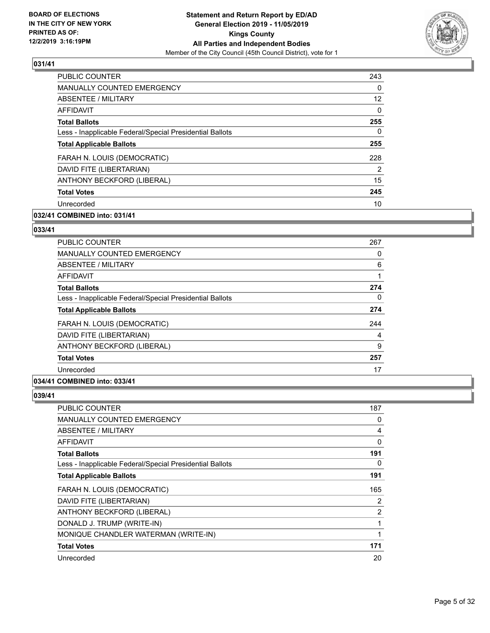

| 243      |
|----------|
| 0        |
| 12       |
| $\Omega$ |
| 255      |
| 0        |
| 255      |
| 228      |
| 2        |
| 15       |
| 245      |
| 10       |
|          |

# **032/41 COMBINED into: 031/41**

## **033/41**

| <b>PUBLIC COUNTER</b>                                    | 267 |
|----------------------------------------------------------|-----|
| <b>MANUALLY COUNTED EMERGENCY</b>                        | 0   |
| ABSENTEE / MILITARY                                      | 6   |
| <b>AFFIDAVIT</b>                                         | 1   |
| <b>Total Ballots</b>                                     | 274 |
| Less - Inapplicable Federal/Special Presidential Ballots | 0   |
| <b>Total Applicable Ballots</b>                          | 274 |
| FARAH N. LOUIS (DEMOCRATIC)                              | 244 |
| DAVID FITE (LIBERTARIAN)                                 | 4   |
| ANTHONY BECKFORD (LIBERAL)                               | 9   |
| <b>Total Votes</b>                                       | 257 |
| Unrecorded                                               | 17  |
|                                                          |     |

# **034/41 COMBINED into: 033/41**

| <b>PUBLIC COUNTER</b>                                    | 187 |
|----------------------------------------------------------|-----|
| <b>MANUALLY COUNTED EMERGENCY</b>                        | 0   |
| ABSENTEE / MILITARY                                      | 4   |
| AFFIDAVIT                                                | 0   |
| <b>Total Ballots</b>                                     | 191 |
| Less - Inapplicable Federal/Special Presidential Ballots | 0   |
| <b>Total Applicable Ballots</b>                          | 191 |
| FARAH N. LOUIS (DEMOCRATIC)                              | 165 |
| DAVID FITE (LIBERTARIAN)                                 | 2   |
| ANTHONY BECKFORD (LIBERAL)                               | 2   |
|                                                          |     |
| DONALD J. TRUMP (WRITE-IN)                               | 1   |
| MONIQUE CHANDLER WATERMAN (WRITE-IN)                     |     |
| <b>Total Votes</b>                                       | 171 |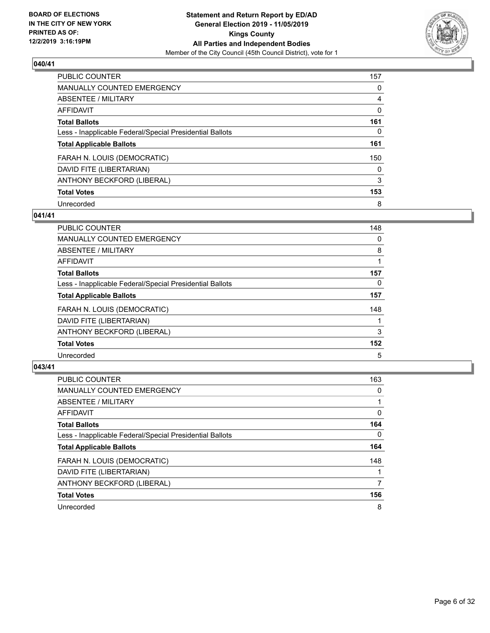

| <b>PUBLIC COUNTER</b>                                    | 157      |
|----------------------------------------------------------|----------|
| MANUALLY COUNTED EMERGENCY                               | $\Omega$ |
| ABSENTEE / MILITARY                                      | 4        |
| AFFIDAVIT                                                | 0        |
| <b>Total Ballots</b>                                     | 161      |
| Less - Inapplicable Federal/Special Presidential Ballots | 0        |
| <b>Total Applicable Ballots</b>                          | 161      |
| FARAH N. LOUIS (DEMOCRATIC)                              | 150      |
| DAVID FITE (LIBERTARIAN)                                 | 0        |
| ANTHONY BECKFORD (LIBERAL)                               | 3        |
| <b>Total Votes</b>                                       | 153      |
| Unrecorded                                               | 8        |

#### **041/41**

| <b>PUBLIC COUNTER</b>                                    | 148      |
|----------------------------------------------------------|----------|
| <b>MANUALLY COUNTED EMERGENCY</b>                        | 0        |
| <b>ABSENTEE / MILITARY</b>                               | 8        |
| <b>AFFIDAVIT</b>                                         |          |
| <b>Total Ballots</b>                                     | 157      |
| Less - Inapplicable Federal/Special Presidential Ballots | $\Omega$ |
| <b>Total Applicable Ballots</b>                          | 157      |
| FARAH N. LOUIS (DEMOCRATIC)                              | 148      |
| DAVID FITE (LIBERTARIAN)                                 |          |
| ANTHONY BECKFORD (LIBERAL)                               | 3        |
| <b>Total Votes</b>                                       | 152      |
| Unrecorded                                               | 5        |

| <b>PUBLIC COUNTER</b>                                    | 163      |
|----------------------------------------------------------|----------|
| <b>MANUALLY COUNTED EMERGENCY</b>                        | $\Omega$ |
| ABSENTEE / MILITARY                                      |          |
| <b>AFFIDAVIT</b>                                         | 0        |
| <b>Total Ballots</b>                                     | 164      |
| Less - Inapplicable Federal/Special Presidential Ballots | $\Omega$ |
| <b>Total Applicable Ballots</b>                          | 164      |
| FARAH N. LOUIS (DEMOCRATIC)                              | 148      |
| DAVID FITE (LIBERTARIAN)                                 |          |
| ANTHONY BECKFORD (LIBERAL)                               | 7        |
| <b>Total Votes</b>                                       | 156      |
| Unrecorded                                               | 8        |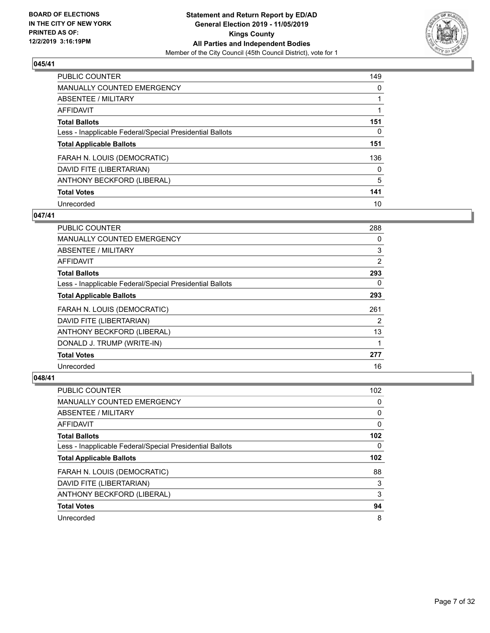

| <b>PUBLIC COUNTER</b>                                    | 149      |
|----------------------------------------------------------|----------|
| <b>MANUALLY COUNTED EMERGENCY</b>                        | $\Omega$ |
| ABSENTEE / MILITARY                                      |          |
| AFFIDAVIT                                                |          |
| <b>Total Ballots</b>                                     | 151      |
| Less - Inapplicable Federal/Special Presidential Ballots | 0        |
| <b>Total Applicable Ballots</b>                          | 151      |
| FARAH N. LOUIS (DEMOCRATIC)                              | 136      |
| DAVID FITE (LIBERTARIAN)                                 | $\Omega$ |
| ANTHONY BECKFORD (LIBERAL)                               | 5        |
| <b>Total Votes</b>                                       | 141      |
| Unrecorded                                               | 10       |

#### **047/41**

| <b>PUBLIC COUNTER</b>                                    | 288 |
|----------------------------------------------------------|-----|
| <b>MANUALLY COUNTED EMERGENCY</b>                        | 0   |
| ABSENTEE / MILITARY                                      | 3   |
| <b>AFFIDAVIT</b>                                         | 2   |
| <b>Total Ballots</b>                                     | 293 |
| Less - Inapplicable Federal/Special Presidential Ballots | 0   |
| <b>Total Applicable Ballots</b>                          | 293 |
| FARAH N. LOUIS (DEMOCRATIC)                              | 261 |
| DAVID FITE (LIBERTARIAN)                                 | 2   |
| ANTHONY BECKFORD (LIBERAL)                               | 13  |
| DONALD J. TRUMP (WRITE-IN)                               |     |
| <b>Total Votes</b>                                       | 277 |
| Unrecorded                                               | 16  |

| <b>PUBLIC COUNTER</b>                                    | 102              |
|----------------------------------------------------------|------------------|
| <b>MANUALLY COUNTED EMERGENCY</b>                        | 0                |
| ABSENTEE / MILITARY                                      | 0                |
| AFFIDAVIT                                                | 0                |
| <b>Total Ballots</b>                                     | 102 <sub>2</sub> |
| Less - Inapplicable Federal/Special Presidential Ballots | 0                |
| <b>Total Applicable Ballots</b>                          | 102              |
| FARAH N. LOUIS (DEMOCRATIC)                              | 88               |
| DAVID FITE (LIBERTARIAN)                                 | 3                |
| ANTHONY BECKFORD (LIBERAL)                               | 3                |
| <b>Total Votes</b>                                       | 94               |
| Unrecorded                                               | 8                |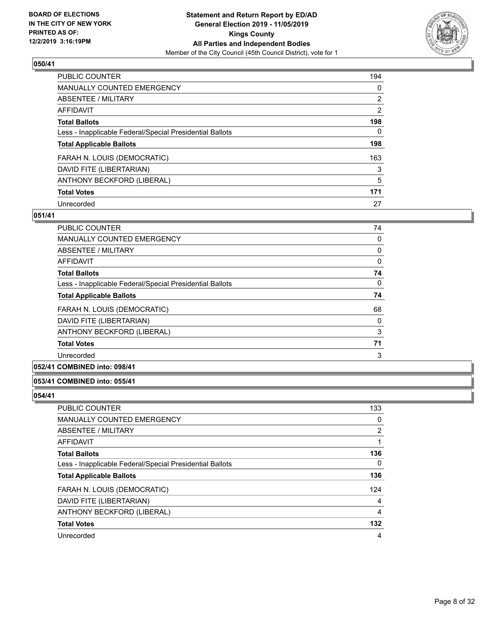

| <b>PUBLIC COUNTER</b>                                    | 194            |
|----------------------------------------------------------|----------------|
| <b>MANUALLY COUNTED EMERGENCY</b>                        | 0              |
| ABSENTEE / MILITARY                                      | $\overline{2}$ |
| <b>AFFIDAVIT</b>                                         | $\overline{2}$ |
| <b>Total Ballots</b>                                     | 198            |
| Less - Inapplicable Federal/Special Presidential Ballots | 0              |
| <b>Total Applicable Ballots</b>                          | 198            |
| FARAH N. LOUIS (DEMOCRATIC)                              | 163            |
| DAVID FITE (LIBERTARIAN)                                 | 3              |
| ANTHONY BECKFORD (LIBERAL)                               | 5              |
| <b>Total Votes</b>                                       | 171            |
| Unrecorded                                               | 27             |

#### **051/41**

| PUBLIC COUNTER                                           | 74       |
|----------------------------------------------------------|----------|
| <b>MANUALLY COUNTED EMERGENCY</b>                        | 0        |
| ABSENTEE / MILITARY                                      | 0        |
| AFFIDAVIT                                                | 0        |
| <b>Total Ballots</b>                                     | 74       |
| Less - Inapplicable Federal/Special Presidential Ballots | $\Omega$ |
| <b>Total Applicable Ballots</b>                          | 74       |
| FARAH N. LOUIS (DEMOCRATIC)                              | 68       |
| DAVID FITE (LIBERTARIAN)                                 | 0        |
| ANTHONY BECKFORD (LIBERAL)                               | 3        |
| <b>Total Votes</b>                                       | 71       |
| Unrecorded                                               | 3        |

# **052/41 COMBINED into: 098/41**

#### **053/41 COMBINED into: 055/41**

| <b>PUBLIC COUNTER</b>                                    | 133 |
|----------------------------------------------------------|-----|
| <b>MANUALLY COUNTED EMERGENCY</b>                        | 0   |
| ABSENTEE / MILITARY                                      | 2   |
| AFFIDAVIT                                                |     |
| <b>Total Ballots</b>                                     | 136 |
| Less - Inapplicable Federal/Special Presidential Ballots | 0   |
| <b>Total Applicable Ballots</b>                          | 136 |
| FARAH N. LOUIS (DEMOCRATIC)                              | 124 |
| DAVID FITE (LIBERTARIAN)                                 | 4   |
| ANTHONY BECKFORD (LIBERAL)                               | 4   |
| <b>Total Votes</b>                                       | 132 |
| Unrecorded                                               | 4   |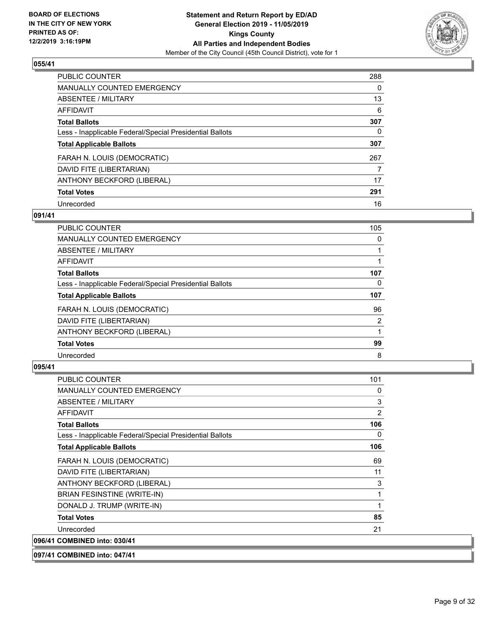

| <b>PUBLIC COUNTER</b>                                    | 288      |
|----------------------------------------------------------|----------|
| <b>MANUALLY COUNTED EMERGENCY</b>                        | $\Omega$ |
| ABSENTEE / MILITARY                                      | 13       |
| AFFIDAVIT                                                | 6        |
| <b>Total Ballots</b>                                     | 307      |
| Less - Inapplicable Federal/Special Presidential Ballots | 0        |
| <b>Total Applicable Ballots</b>                          | 307      |
| FARAH N. LOUIS (DEMOCRATIC)                              | 267      |
| DAVID FITE (LIBERTARIAN)                                 | 7        |
| ANTHONY BECKFORD (LIBERAL)                               | 17       |
| <b>Total Votes</b>                                       | 291      |
| Unrecorded                                               | 16       |

#### **091/41**

| <b>PUBLIC COUNTER</b>                                    | 105 |
|----------------------------------------------------------|-----|
| <b>MANUALLY COUNTED EMERGENCY</b>                        | 0   |
| ABSENTEE / MILITARY                                      |     |
| <b>AFFIDAVIT</b>                                         |     |
| <b>Total Ballots</b>                                     | 107 |
| Less - Inapplicable Federal/Special Presidential Ballots | 0   |
| <b>Total Applicable Ballots</b>                          | 107 |
| FARAH N. LOUIS (DEMOCRATIC)                              | 96  |
| DAVID FITE (LIBERTARIAN)                                 | 2   |
| ANTHONY BECKFORD (LIBERAL)                               |     |
| <b>Total Votes</b>                                       | 99  |
| Unrecorded                                               | 8   |

# **095/41**

| <b>PUBLIC COUNTER</b>                                    | 101      |
|----------------------------------------------------------|----------|
| <b>MANUALLY COUNTED EMERGENCY</b>                        | $\Omega$ |
| ABSENTEE / MILITARY                                      | 3        |
| <b>AFFIDAVIT</b>                                         | 2        |
| <b>Total Ballots</b>                                     | 106      |
| Less - Inapplicable Federal/Special Presidential Ballots | 0        |
| <b>Total Applicable Ballots</b>                          | 106      |
| FARAH N. LOUIS (DEMOCRATIC)                              | 69       |
| DAVID FITE (LIBERTARIAN)                                 | 11       |
| ANTHONY BECKFORD (LIBERAL)                               | 3        |
| <b>BRIAN FESINSTINE (WRITE-IN)</b>                       | 1        |
| DONALD J. TRUMP (WRITE-IN)                               | 1        |
| <b>Total Votes</b>                                       | 85       |
| Unrecorded                                               | 21       |
| 096/41 COMBINED into: 030/41                             |          |

**097/41 COMBINED into: 047/41**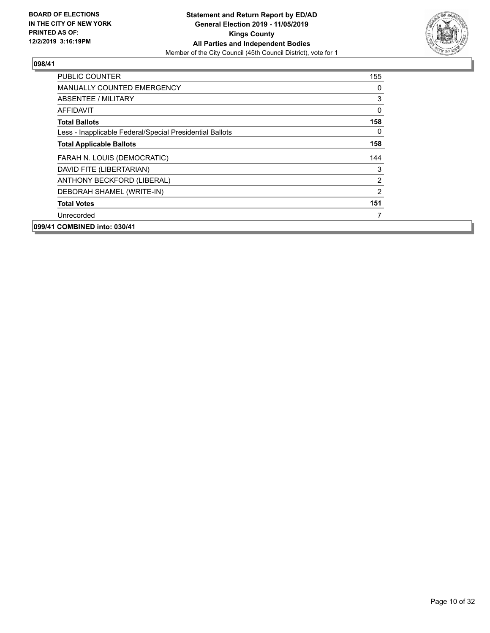

| <b>PUBLIC COUNTER</b>                                    | 155           |
|----------------------------------------------------------|---------------|
| <b>MANUALLY COUNTED EMERGENCY</b>                        | 0             |
| <b>ABSENTEE / MILITARY</b>                               | 3             |
| AFFIDAVIT                                                | 0             |
| <b>Total Ballots</b>                                     | 158           |
| Less - Inapplicable Federal/Special Presidential Ballots | $\mathbf{0}$  |
| <b>Total Applicable Ballots</b>                          | 158           |
| FARAH N. LOUIS (DEMOCRATIC)                              | 144           |
| DAVID FITE (LIBERTARIAN)                                 | 3             |
| ANTHONY BECKFORD (LIBERAL)                               | 2             |
| DEBORAH SHAMEL (WRITE-IN)                                | $\mathcal{P}$ |
| <b>Total Votes</b>                                       | 151           |
| Unrecorded                                               | 7             |
| 099/41 COMBINED into: 030/41                             |               |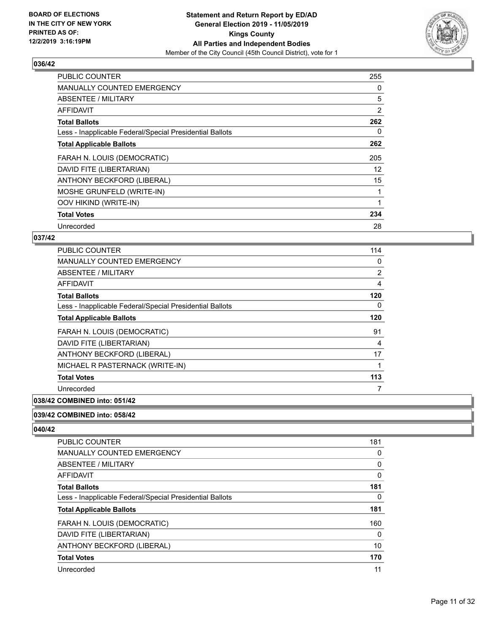

| PUBLIC COUNTER                                           | 255 |
|----------------------------------------------------------|-----|
| <b>MANUALLY COUNTED EMERGENCY</b>                        | 0   |
| ABSENTEE / MILITARY                                      | 5   |
| AFFIDAVIT                                                | 2   |
| <b>Total Ballots</b>                                     | 262 |
| Less - Inapplicable Federal/Special Presidential Ballots | 0   |
| <b>Total Applicable Ballots</b>                          | 262 |
| FARAH N. LOUIS (DEMOCRATIC)                              | 205 |
| DAVID FITE (LIBERTARIAN)                                 | 12  |
| ANTHONY BECKFORD (LIBERAL)                               | 15  |
| MOSHE GRUNFELD (WRITE-IN)                                | 1   |
| OOV HIKIND (WRITE-IN)                                    |     |
| <b>Total Votes</b>                                       | 234 |
| Unrecorded                                               | 28  |

## **037/42**

| PUBLIC COUNTER                                           | 114 |
|----------------------------------------------------------|-----|
| MANUALLY COUNTED EMERGENCY                               | 0   |
| ABSENTEE / MILITARY                                      | 2   |
| AFFIDAVIT                                                | 4   |
| <b>Total Ballots</b>                                     | 120 |
| Less - Inapplicable Federal/Special Presidential Ballots | 0   |
| <b>Total Applicable Ballots</b>                          | 120 |
| FARAH N. LOUIS (DEMOCRATIC)                              | 91  |
| DAVID FITE (LIBERTARIAN)                                 | 4   |
| ANTHONY BECKFORD (LIBERAL)                               | 17  |
| MICHAEL R PASTERNACK (WRITE-IN)                          |     |
| <b>Total Votes</b>                                       | 113 |
| Unrecorded                                               | 7   |
|                                                          |     |

# **038/42 COMBINED into: 051/42**

#### **039/42 COMBINED into: 058/42**

| 181 |
|-----|
| 0   |
| 0   |
| 0   |
| 181 |
| 0   |
| 181 |
| 160 |
| 0   |
| 10  |
| 170 |
| 11  |
|     |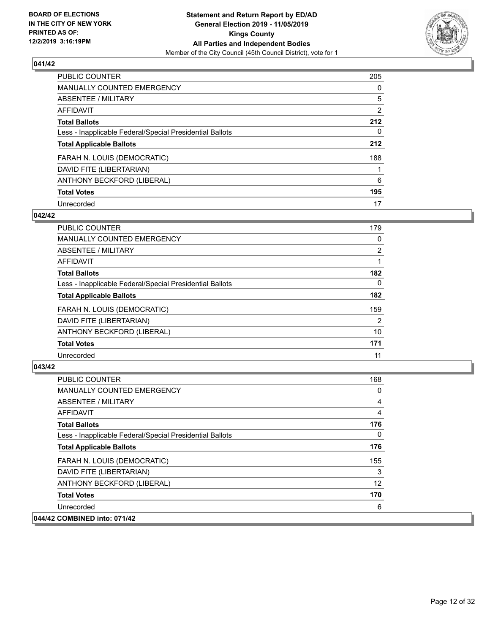

| <b>PUBLIC COUNTER</b>                                    | 205            |
|----------------------------------------------------------|----------------|
| <b>MANUALLY COUNTED EMERGENCY</b>                        | $\Omega$       |
| ABSENTEE / MILITARY                                      | 5              |
| <b>AFFIDAVIT</b>                                         | $\overline{2}$ |
| <b>Total Ballots</b>                                     | 212            |
| Less - Inapplicable Federal/Special Presidential Ballots | 0              |
| <b>Total Applicable Ballots</b>                          | 212            |
| FARAH N. LOUIS (DEMOCRATIC)                              | 188            |
| DAVID FITE (LIBERTARIAN)                                 |                |
| ANTHONY BECKFORD (LIBERAL)                               | 6              |
| <b>Total Votes</b>                                       | 195            |
| Unrecorded                                               | 17             |

#### **042/42**

| <b>PUBLIC COUNTER</b>                                    | 179      |
|----------------------------------------------------------|----------|
| MANUALLY COUNTED EMERGENCY                               | 0        |
| ABSENTEE / MILITARY                                      | 2        |
| <b>AFFIDAVIT</b>                                         |          |
| <b>Total Ballots</b>                                     | 182      |
| Less - Inapplicable Federal/Special Presidential Ballots | $\Omega$ |
| <b>Total Applicable Ballots</b>                          | 182      |
| FARAH N. LOUIS (DEMOCRATIC)                              | 159      |
| DAVID FITE (LIBERTARIAN)                                 | 2        |
| ANTHONY BECKFORD (LIBERAL)                               | 10       |
| <b>Total Votes</b>                                       | 171      |
| Unrecorded                                               | 11       |

| <b>PUBLIC COUNTER</b>                                    | 168               |
|----------------------------------------------------------|-------------------|
| MANUALLY COUNTED EMERGENCY                               | 0                 |
| ABSENTEE / MILITARY                                      | 4                 |
| AFFIDAVIT                                                | 4                 |
| <b>Total Ballots</b>                                     | 176               |
| Less - Inapplicable Federal/Special Presidential Ballots | 0                 |
| <b>Total Applicable Ballots</b>                          | 176               |
| FARAH N. LOUIS (DEMOCRATIC)                              | 155               |
| DAVID FITE (LIBERTARIAN)                                 | 3                 |
| ANTHONY BECKFORD (LIBERAL)                               | $12 \overline{ }$ |
| <b>Total Votes</b>                                       | 170               |
| Unrecorded                                               | 6                 |
| 044/42 COMBINED into: 071/42                             |                   |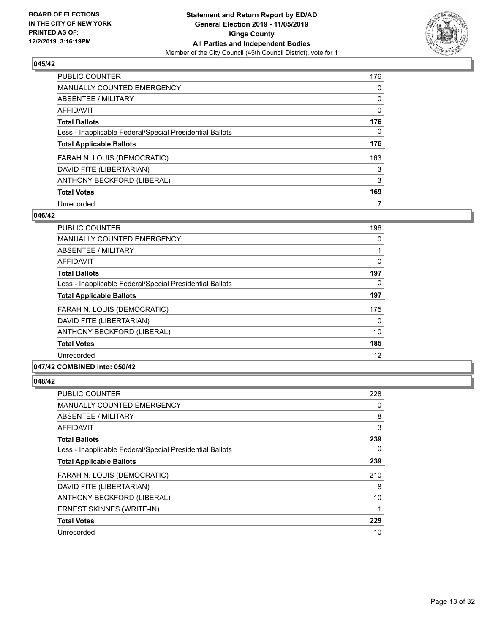

| <b>PUBLIC COUNTER</b>                                    | 176      |
|----------------------------------------------------------|----------|
| <b>MANUALLY COUNTED EMERGENCY</b>                        | $\Omega$ |
| ABSENTEE / MILITARY                                      | 0        |
| AFFIDAVIT                                                | 0        |
| <b>Total Ballots</b>                                     | 176      |
| Less - Inapplicable Federal/Special Presidential Ballots | 0        |
| <b>Total Applicable Ballots</b>                          | 176      |
| FARAH N. LOUIS (DEMOCRATIC)                              | 163      |
| DAVID FITE (LIBERTARIAN)                                 | 3        |
| ANTHONY BECKFORD (LIBERAL)                               | 3        |
| <b>Total Votes</b>                                       | 169      |
| Unrecorded                                               |          |

#### **046/42**

| <b>PUBLIC COUNTER</b>                                    | 196      |
|----------------------------------------------------------|----------|
| <b>MANUALLY COUNTED EMERGENCY</b>                        | 0        |
| ABSENTEE / MILITARY                                      |          |
| AFFIDAVIT                                                | 0        |
| <b>Total Ballots</b>                                     | 197      |
| Less - Inapplicable Federal/Special Presidential Ballots | $\Omega$ |
| <b>Total Applicable Ballots</b>                          | 197      |
| FARAH N. LOUIS (DEMOCRATIC)                              | 175      |
| DAVID FITE (LIBERTARIAN)                                 | $\Omega$ |
| ANTHONY BECKFORD (LIBERAL)                               | 10       |
| <b>Total Votes</b>                                       | 185      |
| Unrecorded                                               | 12       |
|                                                          |          |

## **047/42 COMBINED into: 050/42**

| <b>PUBLIC COUNTER</b>                                    | 228 |
|----------------------------------------------------------|-----|
| <b>MANUALLY COUNTED EMERGENCY</b>                        | 0   |
| ABSENTEE / MILITARY                                      | 8   |
| AFFIDAVIT                                                | 3   |
| <b>Total Ballots</b>                                     | 239 |
| Less - Inapplicable Federal/Special Presidential Ballots | 0   |
| <b>Total Applicable Ballots</b>                          | 239 |
| FARAH N. LOUIS (DEMOCRATIC)                              | 210 |
| DAVID FITE (LIBERTARIAN)                                 | 8   |
| ANTHONY BECKFORD (LIBERAL)                               | 10  |
| ERNEST SKINNES (WRITE-IN)                                |     |
| <b>Total Votes</b>                                       | 229 |
| Unrecorded                                               | 10  |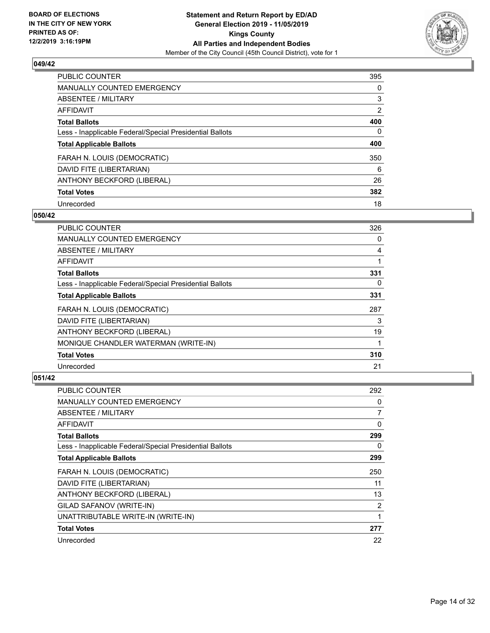

| <b>PUBLIC COUNTER</b>                                    | 395            |
|----------------------------------------------------------|----------------|
| MANUALLY COUNTED EMERGENCY                               | $\Omega$       |
| ABSENTEE / MILITARY                                      | 3              |
| AFFIDAVIT                                                | $\overline{2}$ |
| <b>Total Ballots</b>                                     | 400            |
| Less - Inapplicable Federal/Special Presidential Ballots | 0              |
| <b>Total Applicable Ballots</b>                          | 400            |
| FARAH N. LOUIS (DEMOCRATIC)                              | 350            |
| DAVID FITE (LIBERTARIAN)                                 | 6              |
| ANTHONY BECKFORD (LIBERAL)                               | 26             |
| <b>Total Votes</b>                                       | 382            |
| Unrecorded                                               | 18             |

#### **050/42**

| <b>PUBLIC COUNTER</b>                                    | 326 |
|----------------------------------------------------------|-----|
| <b>MANUALLY COUNTED EMERGENCY</b>                        | 0   |
| ABSENTEE / MILITARY                                      | 4   |
| AFFIDAVIT                                                |     |
| <b>Total Ballots</b>                                     | 331 |
| Less - Inapplicable Federal/Special Presidential Ballots | 0   |
| <b>Total Applicable Ballots</b>                          | 331 |
| FARAH N. LOUIS (DEMOCRATIC)                              | 287 |
| DAVID FITE (LIBERTARIAN)                                 | 3   |
| ANTHONY BECKFORD (LIBERAL)                               | 19  |
| MONIQUE CHANDLER WATERMAN (WRITE-IN)                     |     |
| <b>Total Votes</b>                                       | 310 |
| Unrecorded                                               | 21  |

| PUBLIC COUNTER                                           | 292 |
|----------------------------------------------------------|-----|
| MANUALLY COUNTED EMERGENCY                               | 0   |
| ABSENTEE / MILITARY                                      | 7   |
| AFFIDAVIT                                                | 0   |
| <b>Total Ballots</b>                                     | 299 |
| Less - Inapplicable Federal/Special Presidential Ballots | 0   |
| <b>Total Applicable Ballots</b>                          | 299 |
| FARAH N. LOUIS (DEMOCRATIC)                              | 250 |
| DAVID FITE (LIBERTARIAN)                                 | 11  |
| ANTHONY BECKFORD (LIBERAL)                               | 13  |
| GILAD SAFANOV (WRITE-IN)                                 | 2   |
| UNATTRIBUTABLE WRITE-IN (WRITE-IN)                       | 1   |
| <b>Total Votes</b>                                       | 277 |
| Unrecorded                                               | 22  |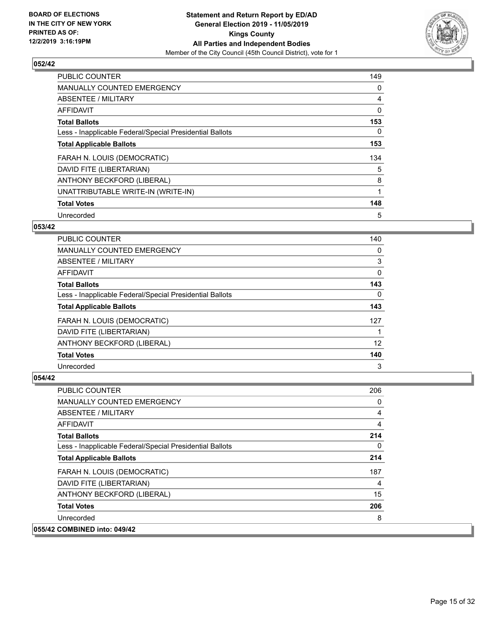

| <b>PUBLIC COUNTER</b>                                    | 149      |
|----------------------------------------------------------|----------|
| <b>MANUALLY COUNTED EMERGENCY</b>                        | 0        |
| ABSENTEE / MILITARY                                      | 4        |
| <b>AFFIDAVIT</b>                                         | 0        |
| <b>Total Ballots</b>                                     | 153      |
| Less - Inapplicable Federal/Special Presidential Ballots | $\Omega$ |
| <b>Total Applicable Ballots</b>                          | 153      |
| FARAH N. LOUIS (DEMOCRATIC)                              | 134      |
| DAVID FITE (LIBERTARIAN)                                 | 5        |
| ANTHONY BECKFORD (LIBERAL)                               | 8        |
| UNATTRIBUTABLE WRITE-IN (WRITE-IN)                       | 1        |
| <b>Total Votes</b>                                       | 148      |
| Unrecorded                                               | 5        |

## **053/42**

| <b>PUBLIC COUNTER</b>                                    | 140 |
|----------------------------------------------------------|-----|
| <b>MANUALLY COUNTED EMERGENCY</b>                        | 0   |
| ABSENTEE / MILITARY                                      | 3   |
| <b>AFFIDAVIT</b>                                         | 0   |
| <b>Total Ballots</b>                                     | 143 |
| Less - Inapplicable Federal/Special Presidential Ballots | 0   |
| <b>Total Applicable Ballots</b>                          | 143 |
| FARAH N. LOUIS (DEMOCRATIC)                              | 127 |
| DAVID FITE (LIBERTARIAN)                                 |     |
| ANTHONY BECKFORD (LIBERAL)                               | 12  |
| <b>Total Votes</b>                                       | 140 |
| Unrecorded                                               | 3   |

| 206 |
|-----|
| 0   |
| 4   |
| 4   |
| 214 |
| 0   |
| 214 |
| 187 |
| 4   |
| 15  |
| 206 |
| 8   |
|     |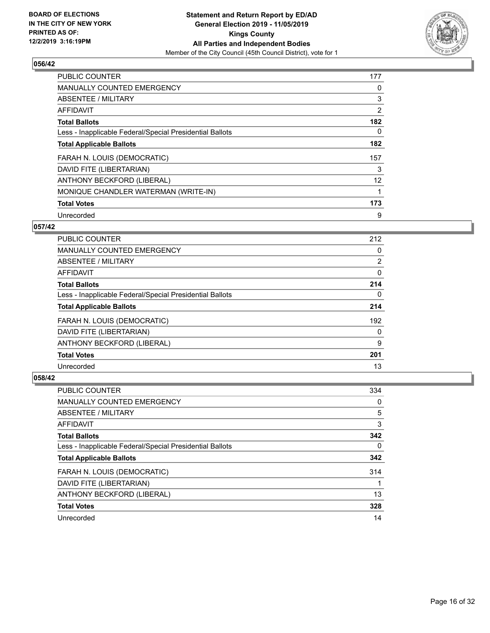

| PUBLIC COUNTER                                           | 177 |
|----------------------------------------------------------|-----|
| <b>MANUALLY COUNTED EMERGENCY</b>                        | 0   |
| ABSENTEE / MILITARY                                      | 3   |
| <b>AFFIDAVIT</b>                                         | 2   |
| <b>Total Ballots</b>                                     | 182 |
| Less - Inapplicable Federal/Special Presidential Ballots | 0   |
| <b>Total Applicable Ballots</b>                          | 182 |
| FARAH N. LOUIS (DEMOCRATIC)                              | 157 |
| DAVID FITE (LIBERTARIAN)                                 | 3   |
| ANTHONY BECKFORD (LIBERAL)                               | 12  |
| MONIQUE CHANDLER WATERMAN (WRITE-IN)                     | 1   |
| <b>Total Votes</b>                                       | 173 |
| Unrecorded                                               | 9   |

## **057/42**

| <b>PUBLIC COUNTER</b>                                    | 212            |
|----------------------------------------------------------|----------------|
| <b>MANUALLY COUNTED EMERGENCY</b>                        | 0              |
| ABSENTEE / MILITARY                                      | $\overline{2}$ |
| AFFIDAVIT                                                | 0              |
| <b>Total Ballots</b>                                     | 214            |
| Less - Inapplicable Federal/Special Presidential Ballots | 0              |
| <b>Total Applicable Ballots</b>                          | 214            |
| FARAH N. LOUIS (DEMOCRATIC)                              | 192            |
| DAVID FITE (LIBERTARIAN)                                 | $\Omega$       |
| ANTHONY BECKFORD (LIBERAL)                               | 9              |
| <b>Total Votes</b>                                       | 201            |
| Unrecorded                                               | 13             |

| <b>PUBLIC COUNTER</b>                                    | 334 |
|----------------------------------------------------------|-----|
| <b>MANUALLY COUNTED EMERGENCY</b>                        | 0   |
| ABSENTEE / MILITARY                                      | 5   |
| AFFIDAVIT                                                | 3   |
| <b>Total Ballots</b>                                     | 342 |
| Less - Inapplicable Federal/Special Presidential Ballots | 0   |
| <b>Total Applicable Ballots</b>                          | 342 |
| FARAH N. LOUIS (DEMOCRATIC)                              | 314 |
| DAVID FITE (LIBERTARIAN)                                 |     |
| ANTHONY BECKFORD (LIBERAL)                               | 13  |
| <b>Total Votes</b>                                       | 328 |
| Unrecorded                                               | 14  |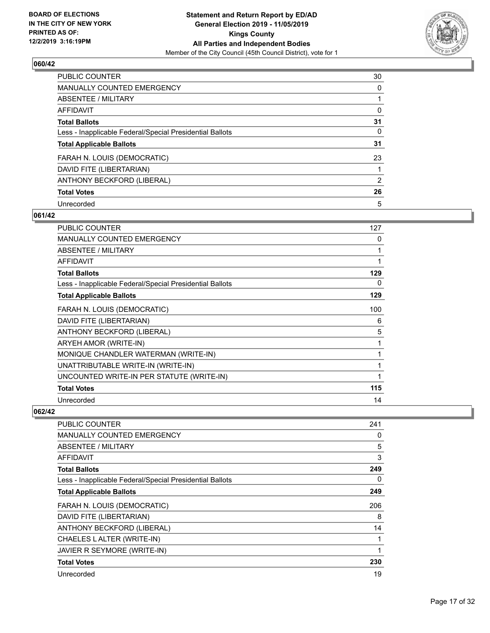

| <b>PUBLIC COUNTER</b>                                    | 30             |
|----------------------------------------------------------|----------------|
| <b>MANUALLY COUNTED EMERGENCY</b>                        | 0              |
| ABSENTEE / MILITARY                                      |                |
| AFFIDAVIT                                                | 0              |
| <b>Total Ballots</b>                                     | 31             |
| Less - Inapplicable Federal/Special Presidential Ballots | $\Omega$       |
| <b>Total Applicable Ballots</b>                          | 31             |
| FARAH N. LOUIS (DEMOCRATIC)                              | 23             |
| DAVID FITE (LIBERTARIAN)                                 |                |
| ANTHONY BECKFORD (LIBERAL)                               | $\overline{2}$ |
| <b>Total Votes</b>                                       | 26             |
| Unrecorded                                               | 5              |

#### **061/42**

| PUBLIC COUNTER                                           | 127 |
|----------------------------------------------------------|-----|
| <b>MANUALLY COUNTED EMERGENCY</b>                        | 0   |
| <b>ABSENTEE / MILITARY</b>                               | 1   |
| <b>AFFIDAVIT</b>                                         | 1   |
| <b>Total Ballots</b>                                     | 129 |
| Less - Inapplicable Federal/Special Presidential Ballots | 0   |
| <b>Total Applicable Ballots</b>                          | 129 |
| FARAH N. LOUIS (DEMOCRATIC)                              | 100 |
| DAVID FITE (LIBERTARIAN)                                 | 6   |
| ANTHONY BECKFORD (LIBERAL)                               | 5   |
| ARYEH AMOR (WRITE-IN)                                    | 1   |
| MONIQUE CHANDLER WATERMAN (WRITE-IN)                     | 1   |
| UNATTRIBUTABLE WRITE-IN (WRITE-IN)                       | 1   |
| UNCOUNTED WRITE-IN PER STATUTE (WRITE-IN)                | 1   |
| <b>Total Votes</b>                                       | 115 |
| Unrecorded                                               | 14  |

| PUBLIC COUNTER                                           | 241 |
|----------------------------------------------------------|-----|
| <b>MANUALLY COUNTED EMERGENCY</b>                        | 0   |
| <b>ABSENTEE / MILITARY</b>                               | 5   |
| <b>AFFIDAVIT</b>                                         | 3   |
| <b>Total Ballots</b>                                     | 249 |
| Less - Inapplicable Federal/Special Presidential Ballots | 0   |
| <b>Total Applicable Ballots</b>                          | 249 |
| FARAH N. LOUIS (DEMOCRATIC)                              | 206 |
| DAVID FITE (LIBERTARIAN)                                 | 8   |
| ANTHONY BECKFORD (LIBERAL)                               | 14  |
| CHAELES LALTER (WRITE-IN)                                |     |
| JAVIER R SEYMORE (WRITE-IN)                              |     |
| <b>Total Votes</b>                                       | 230 |
| Unrecorded                                               | 19  |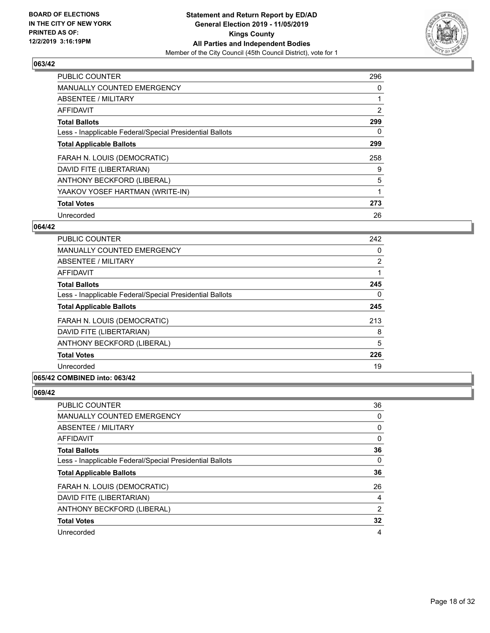

| <b>PUBLIC COUNTER</b>                                    | 296            |
|----------------------------------------------------------|----------------|
| <b>MANUALLY COUNTED EMERGENCY</b>                        | 0              |
| ABSENTEE / MILITARY                                      |                |
| <b>AFFIDAVIT</b>                                         | $\overline{2}$ |
| <b>Total Ballots</b>                                     | 299            |
| Less - Inapplicable Federal/Special Presidential Ballots | 0              |
| <b>Total Applicable Ballots</b>                          | 299            |
| FARAH N. LOUIS (DEMOCRATIC)                              | 258            |
| DAVID FITE (LIBERTARIAN)                                 | 9              |
| ANTHONY BECKFORD (LIBERAL)                               | 5              |
| YAAKOV YOSEF HARTMAN (WRITE-IN)                          | 1              |
| <b>Total Votes</b>                                       | 273            |
| Unrecorded                                               | 26             |

#### **064/42**

| <b>PUBLIC COUNTER</b>                                    | 242      |
|----------------------------------------------------------|----------|
| <b>MANUALLY COUNTED EMERGENCY</b>                        | $\Omega$ |
| <b>ABSENTEE / MILITARY</b>                               | 2        |
| <b>AFFIDAVIT</b>                                         |          |
| <b>Total Ballots</b>                                     | 245      |
| Less - Inapplicable Federal/Special Presidential Ballots | $\Omega$ |
| <b>Total Applicable Ballots</b>                          | 245      |
| FARAH N. LOUIS (DEMOCRATIC)                              | 213      |
| DAVID FITE (LIBERTARIAN)                                 | 8        |
| ANTHONY BECKFORD (LIBERAL)                               | 5        |
| <b>Total Votes</b>                                       | 226      |
| Unrecorded                                               | 19       |

# **065/42 COMBINED into: 063/42**

| PUBLIC COUNTER                                           | 36             |
|----------------------------------------------------------|----------------|
| <b>MANUALLY COUNTED EMERGENCY</b>                        | 0              |
| ABSENTEE / MILITARY                                      | 0              |
| AFFIDAVIT                                                | 0              |
| <b>Total Ballots</b>                                     | 36             |
| Less - Inapplicable Federal/Special Presidential Ballots | 0              |
| <b>Total Applicable Ballots</b>                          | 36             |
| FARAH N. LOUIS (DEMOCRATIC)                              | 26             |
| DAVID FITE (LIBERTARIAN)                                 | $\overline{4}$ |
| ANTHONY BECKFORD (LIBERAL)                               | 2              |
| <b>Total Votes</b>                                       | 32             |
| Unrecorded                                               | 4              |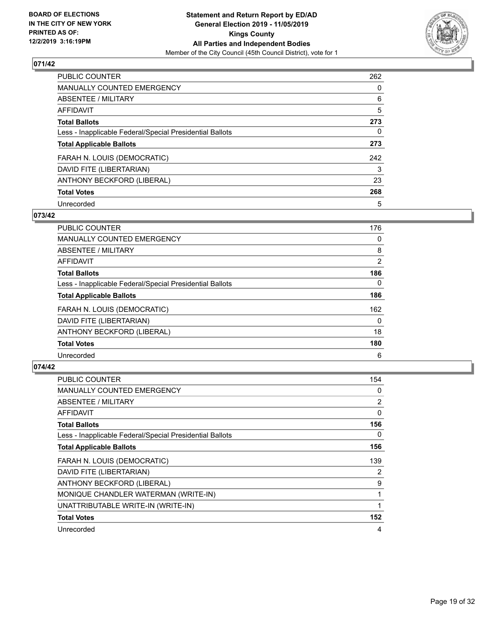

| <b>PUBLIC COUNTER</b>                                    | 262      |
|----------------------------------------------------------|----------|
| <b>MANUALLY COUNTED EMERGENCY</b>                        | $\Omega$ |
| ABSENTEE / MILITARY                                      | 6        |
| <b>AFFIDAVIT</b>                                         | 5        |
| <b>Total Ballots</b>                                     | 273      |
| Less - Inapplicable Federal/Special Presidential Ballots | 0        |
| <b>Total Applicable Ballots</b>                          | 273      |
| FARAH N. LOUIS (DEMOCRATIC)                              | 242      |
| DAVID FITE (LIBERTARIAN)                                 | 3        |
| ANTHONY BECKFORD (LIBERAL)                               | 23       |
| <b>Total Votes</b>                                       | 268      |
| Unrecorded                                               | 5        |

#### **073/42**

| <b>PUBLIC COUNTER</b>                                    | 176          |
|----------------------------------------------------------|--------------|
| <b>MANUALLY COUNTED EMERGENCY</b>                        | 0            |
| ABSENTEE / MILITARY                                      | 8            |
| <b>AFFIDAVIT</b>                                         | 2            |
| <b>Total Ballots</b>                                     | 186          |
| Less - Inapplicable Federal/Special Presidential Ballots | $\Omega$     |
| <b>Total Applicable Ballots</b>                          | 186          |
| FARAH N. LOUIS (DEMOCRATIC)                              | 162          |
| DAVID FITE (LIBERTARIAN)                                 | $\mathbf{0}$ |
| ANTHONY BECKFORD (LIBERAL)                               | 18           |
| <b>Total Votes</b>                                       | 180          |
| Unrecorded                                               | 6            |

| <b>PUBLIC COUNTER</b>                                    | 154 |
|----------------------------------------------------------|-----|
| MANUALLY COUNTED EMERGENCY                               | 0   |
| ABSENTEE / MILITARY                                      | 2   |
| AFFIDAVIT                                                | 0   |
| <b>Total Ballots</b>                                     | 156 |
| Less - Inapplicable Federal/Special Presidential Ballots | 0   |
| <b>Total Applicable Ballots</b>                          | 156 |
| FARAH N. LOUIS (DEMOCRATIC)                              | 139 |
| DAVID FITE (LIBERTARIAN)                                 | 2   |
| ANTHONY BECKFORD (LIBERAL)                               | 9   |
| MONIQUE CHANDLER WATERMAN (WRITE-IN)                     |     |
| UNATTRIBUTABLE WRITE-IN (WRITE-IN)                       | 1   |
| <b>Total Votes</b>                                       | 152 |
| Unrecorded                                               | 4   |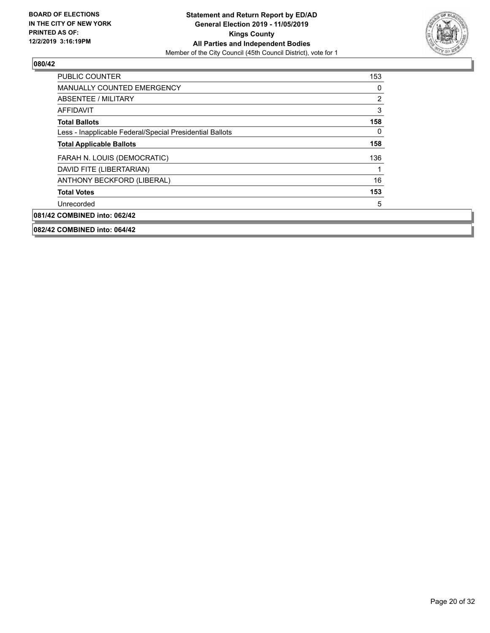

| <b>PUBLIC COUNTER</b>                                    | 153            |
|----------------------------------------------------------|----------------|
| <b>MANUALLY COUNTED EMERGENCY</b>                        | 0              |
| ABSENTEE / MILITARY                                      | $\overline{2}$ |
| AFFIDAVIT                                                | 3              |
| <b>Total Ballots</b>                                     | 158            |
| Less - Inapplicable Federal/Special Presidential Ballots | 0              |
| <b>Total Applicable Ballots</b>                          | 158            |
| FARAH N. LOUIS (DEMOCRATIC)                              | 136            |
| DAVID FITE (LIBERTARIAN)                                 |                |
| ANTHONY BECKFORD (LIBERAL)                               | 16             |
| <b>Total Votes</b>                                       | 153            |
| Unrecorded                                               | 5              |
| 081/42 COMBINED into: 062/42                             |                |
| 082/42 COMBINED into: 064/42                             |                |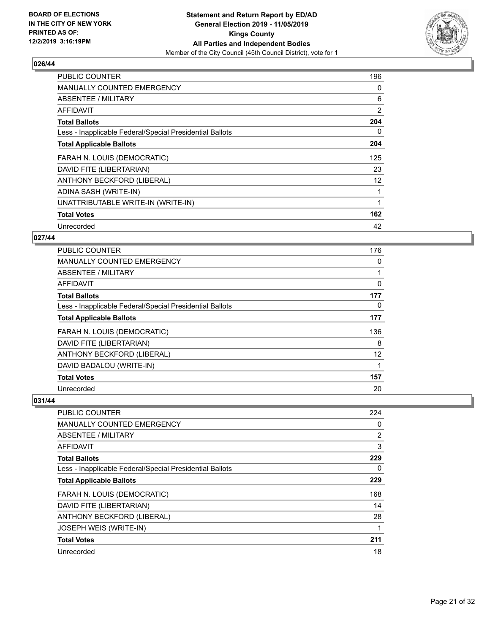

| <b>PUBLIC COUNTER</b>                                    | 196 |
|----------------------------------------------------------|-----|
| <b>MANUALLY COUNTED EMERGENCY</b>                        | 0   |
| ABSENTEE / MILITARY                                      | 6   |
| AFFIDAVIT                                                | 2   |
| <b>Total Ballots</b>                                     | 204 |
| Less - Inapplicable Federal/Special Presidential Ballots | 0   |
| <b>Total Applicable Ballots</b>                          | 204 |
| FARAH N. LOUIS (DEMOCRATIC)                              | 125 |
| DAVID FITE (LIBERTARIAN)                                 | 23  |
| ANTHONY BECKFORD (LIBERAL)                               | 12  |
| ADINA SASH (WRITE-IN)                                    |     |
| UNATTRIBUTABLE WRITE-IN (WRITE-IN)                       |     |
| <b>Total Votes</b>                                       | 162 |
| Unrecorded                                               | 42  |

## **027/44**

| PUBLIC COUNTER                                           | 176      |
|----------------------------------------------------------|----------|
| MANUALLY COUNTED EMERGENCY                               | 0        |
| ABSENTEE / MILITARY                                      |          |
| AFFIDAVIT                                                | 0        |
| <b>Total Ballots</b>                                     | 177      |
| Less - Inapplicable Federal/Special Presidential Ballots | $\Omega$ |
| <b>Total Applicable Ballots</b>                          | 177      |
| FARAH N. LOUIS (DEMOCRATIC)                              | 136      |
| DAVID FITE (LIBERTARIAN)                                 | 8        |
| ANTHONY BECKFORD (LIBERAL)                               | 12       |
| DAVID BADALOU (WRITE-IN)                                 |          |
| <b>Total Votes</b>                                       | 157      |
| Unrecorded                                               | 20       |

| PUBLIC COUNTER                                           | 224            |
|----------------------------------------------------------|----------------|
| MANUALLY COUNTED EMERGENCY                               | 0              |
| ABSENTEE / MILITARY                                      | $\overline{2}$ |
| AFFIDAVIT                                                | 3              |
| <b>Total Ballots</b>                                     | 229            |
| Less - Inapplicable Federal/Special Presidential Ballots | 0              |
| <b>Total Applicable Ballots</b>                          | 229            |
| FARAH N. LOUIS (DEMOCRATIC)                              | 168            |
| DAVID FITE (LIBERTARIAN)                                 | 14             |
| ANTHONY BECKFORD (LIBERAL)                               | 28             |
| JOSEPH WEIS (WRITE-IN)                                   |                |
| <b>Total Votes</b>                                       | 211            |
| Unrecorded                                               | 18             |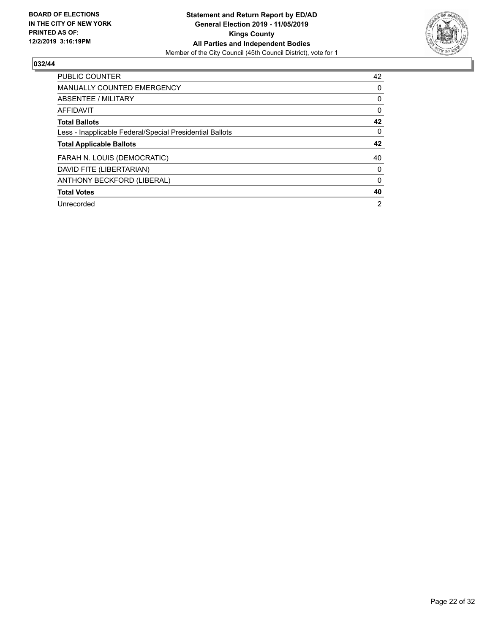

| PUBLIC COUNTER                                           | 42       |
|----------------------------------------------------------|----------|
| <b>MANUALLY COUNTED EMERGENCY</b>                        | $\Omega$ |
| ABSENTEE / MILITARY                                      | 0        |
| <b>AFFIDAVIT</b>                                         | 0        |
| <b>Total Ballots</b>                                     | 42       |
| Less - Inapplicable Federal/Special Presidential Ballots | $\Omega$ |
| <b>Total Applicable Ballots</b>                          | 42       |
| FARAH N. LOUIS (DEMOCRATIC)                              | 40       |
| DAVID FITE (LIBERTARIAN)                                 | 0        |
| ANTHONY BECKFORD (LIBERAL)                               | $\Omega$ |
| <b>Total Votes</b>                                       | 40       |
|                                                          |          |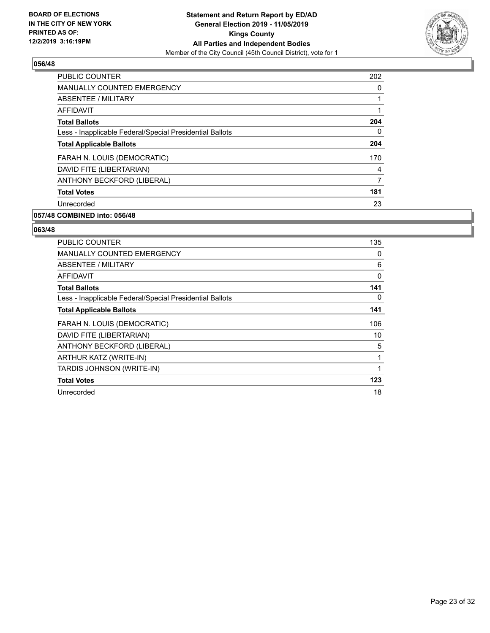

| 202 |
|-----|
| 0   |
|     |
|     |
| 204 |
| 0   |
| 204 |
| 170 |
| 4   |
| 7   |
| 181 |
| 23  |
|     |

# **057/48 COMBINED into: 056/48**

| <b>PUBLIC COUNTER</b>                                    | 135 |
|----------------------------------------------------------|-----|
| <b>MANUALLY COUNTED EMERGENCY</b>                        | 0   |
| ABSENTEE / MILITARY                                      | 6   |
| <b>AFFIDAVIT</b>                                         | 0   |
| <b>Total Ballots</b>                                     | 141 |
| Less - Inapplicable Federal/Special Presidential Ballots | 0   |
| <b>Total Applicable Ballots</b>                          | 141 |
| FARAH N. LOUIS (DEMOCRATIC)                              | 106 |
| DAVID FITE (LIBERTARIAN)                                 | 10  |
| ANTHONY BECKFORD (LIBERAL)                               | 5   |
| ARTHUR KATZ (WRITE-IN)                                   | 1   |
| TARDIS JOHNSON (WRITE-IN)                                | 1   |
| <b>Total Votes</b>                                       | 123 |
| Unrecorded                                               | 18  |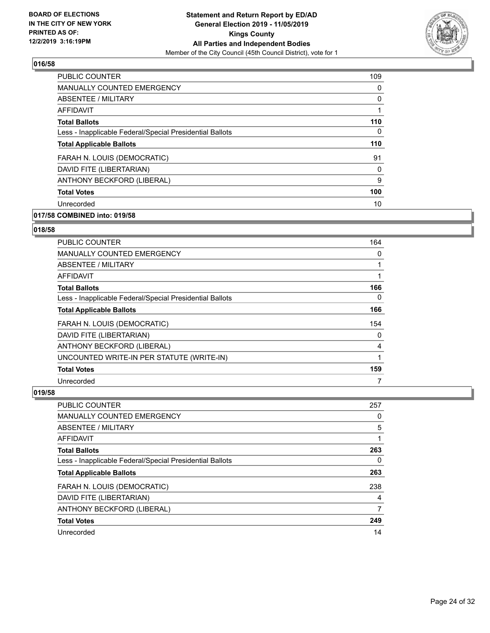

| <b>MANUALLY COUNTED EMERGENCY</b><br>0<br>ABSENTEE / MILITARY<br>0<br><b>AFFIDAVIT</b><br>1<br>110<br><b>Total Ballots</b><br>Less - Inapplicable Federal/Special Presidential Ballots<br>0<br>110<br><b>Total Applicable Ballots</b><br>FARAH N. LOUIS (DEMOCRATIC)<br>91<br>DAVID FITE (LIBERTARIAN)<br>0<br>ANTHONY BECKFORD (LIBERAL)<br>9<br>100<br><b>Total Votes</b> | PUBLIC COUNTER | 109 |
|-----------------------------------------------------------------------------------------------------------------------------------------------------------------------------------------------------------------------------------------------------------------------------------------------------------------------------------------------------------------------------|----------------|-----|
|                                                                                                                                                                                                                                                                                                                                                                             |                |     |
|                                                                                                                                                                                                                                                                                                                                                                             |                |     |
|                                                                                                                                                                                                                                                                                                                                                                             |                |     |
|                                                                                                                                                                                                                                                                                                                                                                             |                |     |
|                                                                                                                                                                                                                                                                                                                                                                             |                |     |
|                                                                                                                                                                                                                                                                                                                                                                             |                |     |
|                                                                                                                                                                                                                                                                                                                                                                             |                |     |
|                                                                                                                                                                                                                                                                                                                                                                             |                |     |
|                                                                                                                                                                                                                                                                                                                                                                             |                |     |
|                                                                                                                                                                                                                                                                                                                                                                             |                |     |
|                                                                                                                                                                                                                                                                                                                                                                             | Unrecorded     | 10  |

# **017/58 COMBINED into: 019/58**

# **018/58**

| PUBLIC COUNTER                                           | 164 |
|----------------------------------------------------------|-----|
| <b>MANUALLY COUNTED EMERGENCY</b>                        | 0   |
| ABSENTEE / MILITARY                                      |     |
| <b>AFFIDAVIT</b>                                         |     |
| <b>Total Ballots</b>                                     | 166 |
| Less - Inapplicable Federal/Special Presidential Ballots | 0   |
| <b>Total Applicable Ballots</b>                          | 166 |
| FARAH N. LOUIS (DEMOCRATIC)                              | 154 |
| DAVID FITE (LIBERTARIAN)                                 | 0   |
| ANTHONY BECKFORD (LIBERAL)                               | 4   |
| UNCOUNTED WRITE-IN PER STATUTE (WRITE-IN)                | 1   |
| <b>Total Votes</b>                                       | 159 |
| Unrecorded                                               | 7   |

| PUBLIC COUNTER                                           | 257 |
|----------------------------------------------------------|-----|
| <b>MANUALLY COUNTED EMERGENCY</b>                        | 0   |
| ABSENTEE / MILITARY                                      | 5   |
| AFFIDAVIT                                                |     |
| <b>Total Ballots</b>                                     | 263 |
| Less - Inapplicable Federal/Special Presidential Ballots | 0   |
| <b>Total Applicable Ballots</b>                          | 263 |
| FARAH N. LOUIS (DEMOCRATIC)                              | 238 |
| DAVID FITE (LIBERTARIAN)                                 | 4   |
| ANTHONY BECKFORD (LIBERAL)                               | 7   |
| <b>Total Votes</b>                                       | 249 |
| Unrecorded                                               | 14  |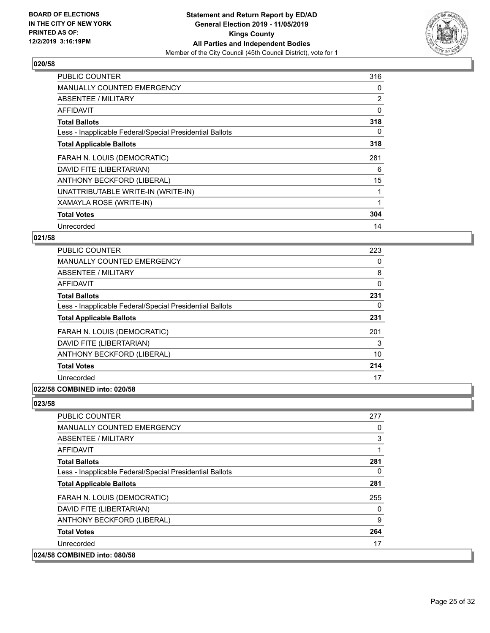

| PUBLIC COUNTER                                           | 316            |
|----------------------------------------------------------|----------------|
| <b>MANUALLY COUNTED EMERGENCY</b>                        | 0              |
| ABSENTEE / MILITARY                                      | $\overline{2}$ |
| <b>AFFIDAVIT</b>                                         | 0              |
| <b>Total Ballots</b>                                     | 318            |
| Less - Inapplicable Federal/Special Presidential Ballots | 0              |
| <b>Total Applicable Ballots</b>                          | 318            |
| FARAH N. LOUIS (DEMOCRATIC)                              | 281            |
| DAVID FITE (LIBERTARIAN)                                 | 6              |
| ANTHONY BECKFORD (LIBERAL)                               | 15             |
| UNATTRIBUTABLE WRITE-IN (WRITE-IN)                       |                |
| XAMAYLA ROSE (WRITE-IN)                                  |                |
| <b>Total Votes</b>                                       | 304            |
| Unrecorded                                               | 14             |

## **021/58**

| <b>PUBLIC COUNTER</b>                                    | 223 |
|----------------------------------------------------------|-----|
| MANUALLY COUNTED EMERGENCY                               | 0   |
| ABSENTEE / MILITARY                                      | 8   |
| <b>AFFIDAVIT</b>                                         | 0   |
| <b>Total Ballots</b>                                     | 231 |
| Less - Inapplicable Federal/Special Presidential Ballots | 0   |
| <b>Total Applicable Ballots</b>                          | 231 |
| FARAH N. LOUIS (DEMOCRATIC)                              | 201 |
| DAVID FITE (LIBERTARIAN)                                 | 3   |
| ANTHONY BECKFORD (LIBERAL)                               | 10  |
| <b>Total Votes</b>                                       | 214 |
| Unrecorded                                               | 17  |
|                                                          |     |

## **022/58 COMBINED into: 020/58**

| <b>PUBLIC COUNTER</b>                                    | 277      |
|----------------------------------------------------------|----------|
| <b>MANUALLY COUNTED EMERGENCY</b>                        | 0        |
| ABSENTEE / MILITARY                                      | 3        |
| AFFIDAVIT                                                | 1        |
| <b>Total Ballots</b>                                     | 281      |
| Less - Inapplicable Federal/Special Presidential Ballots | $\Omega$ |
| <b>Total Applicable Ballots</b>                          | 281      |
| FARAH N. LOUIS (DEMOCRATIC)                              | 255      |
| DAVID FITE (LIBERTARIAN)                                 | 0        |
| ANTHONY BECKFORD (LIBERAL)                               | 9        |
| <b>Total Votes</b>                                       | 264      |
| Unrecorded                                               | 17       |
| 024/58 COMBINED into: 080/58                             |          |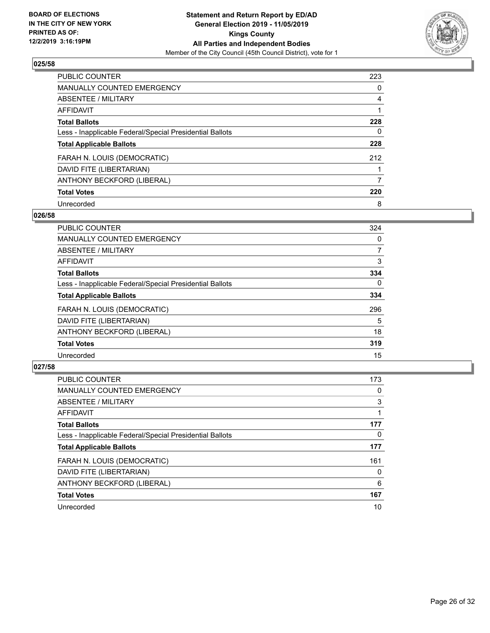

| <b>PUBLIC COUNTER</b>                                    | 223 |
|----------------------------------------------------------|-----|
| MANUALLY COUNTED EMERGENCY                               | 0   |
| ABSENTEE / MILITARY                                      | 4   |
| <b>AFFIDAVIT</b>                                         |     |
| <b>Total Ballots</b>                                     | 228 |
| Less - Inapplicable Federal/Special Presidential Ballots | 0   |
| <b>Total Applicable Ballots</b>                          | 228 |
| FARAH N. LOUIS (DEMOCRATIC)                              | 212 |
| DAVID FITE (LIBERTARIAN)                                 |     |
| ANTHONY BECKFORD (LIBERAL)                               |     |
| <b>Total Votes</b>                                       | 220 |
| Unrecorded                                               | 8   |

#### **026/58**

| <b>PUBLIC COUNTER</b>                                    | 324      |
|----------------------------------------------------------|----------|
| <b>MANUALLY COUNTED EMERGENCY</b>                        | 0        |
| <b>ABSENTEE / MILITARY</b>                               | 7        |
| <b>AFFIDAVIT</b>                                         | 3        |
| <b>Total Ballots</b>                                     | 334      |
| Less - Inapplicable Federal/Special Presidential Ballots | $\Omega$ |
| <b>Total Applicable Ballots</b>                          | 334      |
| FARAH N. LOUIS (DEMOCRATIC)                              | 296      |
| DAVID FITE (LIBERTARIAN)                                 | 5        |
| ANTHONY BECKFORD (LIBERAL)                               | 18       |
| <b>Total Votes</b>                                       | 319      |
| Unrecorded                                               | 15       |

| <b>PUBLIC COUNTER</b>                                    | 173      |
|----------------------------------------------------------|----------|
| <b>MANUALLY COUNTED EMERGENCY</b>                        | 0        |
| ABSENTEE / MILITARY                                      | 3        |
| AFFIDAVIT                                                |          |
| <b>Total Ballots</b>                                     | 177      |
| Less - Inapplicable Federal/Special Presidential Ballots | 0        |
| <b>Total Applicable Ballots</b>                          | 177      |
| FARAH N. LOUIS (DEMOCRATIC)                              | 161      |
| DAVID FITE (LIBERTARIAN)                                 | $\Omega$ |
| ANTHONY BECKFORD (LIBERAL)                               | 6        |
| <b>Total Votes</b>                                       | 167      |
| Unrecorded                                               | 10       |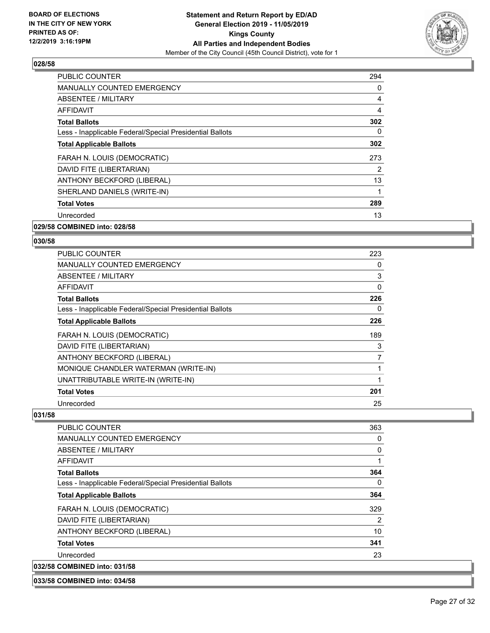

| PUBLIC COUNTER                                           | 294 |
|----------------------------------------------------------|-----|
| <b>MANUALLY COUNTED EMERGENCY</b>                        | 0   |
| ABSENTEE / MILITARY                                      | 4   |
| <b>AFFIDAVIT</b>                                         | 4   |
| <b>Total Ballots</b>                                     | 302 |
| Less - Inapplicable Federal/Special Presidential Ballots | 0   |
| <b>Total Applicable Ballots</b>                          | 302 |
| FARAH N. LOUIS (DEMOCRATIC)                              | 273 |
| DAVID FITE (LIBERTARIAN)                                 | 2   |
| ANTHONY BECKFORD (LIBERAL)                               | 13  |
| SHERLAND DANIELS (WRITE-IN)                              |     |
| <b>Total Votes</b>                                       | 289 |
| Unrecorded                                               | 13  |
|                                                          |     |

**029/58 COMBINED into: 028/58**

**033/58 COMBINED into: 034/58**

#### **030/58**

| PUBLIC COUNTER                                           | 223            |
|----------------------------------------------------------|----------------|
| <b>MANUALLY COUNTED EMERGENCY</b>                        | 0              |
| ABSENTEE / MILITARY                                      | 3              |
| AFFIDAVIT                                                | 0              |
| <b>Total Ballots</b>                                     | 226            |
| Less - Inapplicable Federal/Special Presidential Ballots | 0              |
| <b>Total Applicable Ballots</b>                          | 226            |
| FARAH N. LOUIS (DEMOCRATIC)                              | 189            |
| DAVID FITE (LIBERTARIAN)                                 | 3              |
| ANTHONY BECKFORD (LIBERAL)                               | $\overline{7}$ |
| MONIQUE CHANDLER WATERMAN (WRITE-IN)                     |                |
| UNATTRIBUTABLE WRITE-IN (WRITE-IN)                       |                |
| <b>Total Votes</b>                                       | 201            |
|                                                          |                |

| <b>PUBLIC COUNTER</b>                                    | 363            |
|----------------------------------------------------------|----------------|
| <b>MANUALLY COUNTED EMERGENCY</b>                        | 0              |
| ABSENTEE / MILITARY                                      | 0              |
| AFFIDAVIT                                                | 1              |
| <b>Total Ballots</b>                                     | 364            |
| Less - Inapplicable Federal/Special Presidential Ballots | 0              |
| <b>Total Applicable Ballots</b>                          | 364            |
| FARAH N. LOUIS (DEMOCRATIC)                              | 329            |
| DAVID FITE (LIBERTARIAN)                                 | $\overline{2}$ |
| ANTHONY BECKFORD (LIBERAL)                               | 10             |
| <b>Total Votes</b>                                       | 341            |
| Unrecorded                                               | 23             |
| 032/58 COMBINED into: 031/58                             |                |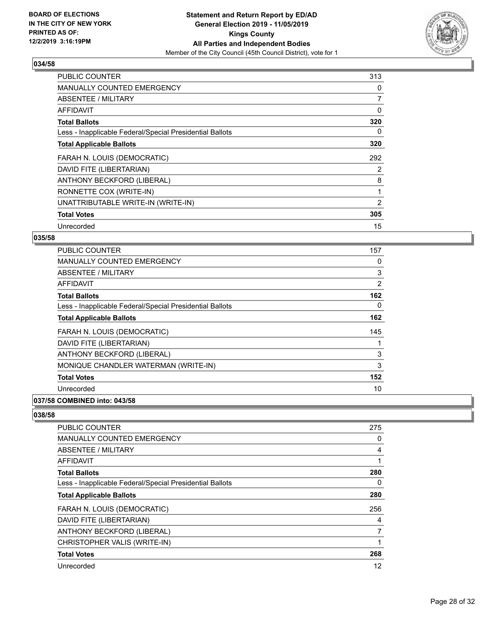

| <b>PUBLIC COUNTER</b>                                    | 313            |
|----------------------------------------------------------|----------------|
| <b>MANUALLY COUNTED EMERGENCY</b>                        | 0              |
| <b>ABSENTEE / MILITARY</b>                               | $\overline{7}$ |
| <b>AFFIDAVIT</b>                                         | 0              |
| <b>Total Ballots</b>                                     | 320            |
| Less - Inapplicable Federal/Special Presidential Ballots | 0              |
| <b>Total Applicable Ballots</b>                          | 320            |
| FARAH N. LOUIS (DEMOCRATIC)                              | 292            |
| DAVID FITE (LIBERTARIAN)                                 | $\overline{2}$ |
| ANTHONY BECKFORD (LIBERAL)                               | 8              |
| RONNETTE COX (WRITE-IN)                                  | 1              |
| UNATTRIBUTABLE WRITE-IN (WRITE-IN)                       | 2              |
| <b>Total Votes</b>                                       | 305            |
| Unrecorded                                               | 15             |

## **035/58**

| PUBLIC COUNTER                                           | 157 |
|----------------------------------------------------------|-----|
| MANUALLY COUNTED EMERGENCY                               | 0   |
| ABSENTEE / MILITARY                                      | 3   |
| AFFIDAVIT                                                | 2   |
| <b>Total Ballots</b>                                     | 162 |
| Less - Inapplicable Federal/Special Presidential Ballots | 0   |
| <b>Total Applicable Ballots</b>                          | 162 |
| FARAH N. LOUIS (DEMOCRATIC)                              | 145 |
| DAVID FITE (LIBERTARIAN)                                 | 1   |
| ANTHONY BECKFORD (LIBERAL)                               | 3   |
| MONIQUE CHANDLER WATERMAN (WRITE-IN)                     | 3   |
| <b>Total Votes</b>                                       | 152 |
| Unrecorded                                               | 10  |
|                                                          |     |

# **037/58 COMBINED into: 043/58**

| PUBLIC COUNTER                                           | 275 |
|----------------------------------------------------------|-----|
| MANUALLY COUNTED EMERGENCY                               | 0   |
| ABSENTEE / MILITARY                                      | 4   |
| AFFIDAVIT                                                | 1   |
| <b>Total Ballots</b>                                     | 280 |
| Less - Inapplicable Federal/Special Presidential Ballots | 0   |
| <b>Total Applicable Ballots</b>                          | 280 |
| FARAH N. LOUIS (DEMOCRATIC)                              | 256 |
| DAVID FITE (LIBERTARIAN)                                 | 4   |
| ANTHONY BECKFORD (LIBERAL)                               | 7   |
| CHRISTOPHER VALIS (WRITE-IN)                             | 1   |
| <b>Total Votes</b>                                       | 268 |
| Unrecorded                                               | 12  |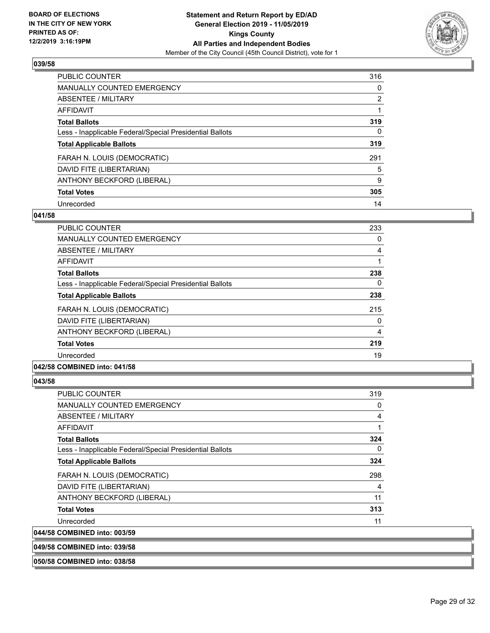

| <b>PUBLIC COUNTER</b>                                    | 316            |
|----------------------------------------------------------|----------------|
| <b>MANUALLY COUNTED EMERGENCY</b>                        | 0              |
| ABSENTEE / MILITARY                                      | $\overline{2}$ |
| <b>AFFIDAVIT</b>                                         |                |
| <b>Total Ballots</b>                                     | 319            |
| Less - Inapplicable Federal/Special Presidential Ballots | 0              |
| <b>Total Applicable Ballots</b>                          | 319            |
| FARAH N. LOUIS (DEMOCRATIC)                              | 291            |
| DAVID FITE (LIBERTARIAN)                                 | 5              |
| ANTHONY BECKFORD (LIBERAL)                               | 9              |
| <b>Total Votes</b>                                       | 305            |
| Unrecorded                                               | 14             |

#### **041/58**

| PUBLIC COUNTER                                           | 233 |
|----------------------------------------------------------|-----|
| <b>MANUALLY COUNTED EMERGENCY</b>                        | 0   |
| ABSENTEE / MILITARY                                      | 4   |
| AFFIDAVIT                                                |     |
| <b>Total Ballots</b>                                     | 238 |
| Less - Inapplicable Federal/Special Presidential Ballots | 0   |
| <b>Total Applicable Ballots</b>                          | 238 |
| FARAH N. LOUIS (DEMOCRATIC)                              | 215 |
| DAVID FITE (LIBERTARIAN)                                 | 0   |
| ANTHONY BECKFORD (LIBERAL)                               | 4   |
| <b>Total Votes</b>                                       | 219 |
| Unrecorded                                               | 19  |
|                                                          |     |

#### **042/58 COMBINED into: 041/58**

| <b>PUBLIC COUNTER</b>                                    | 319 |
|----------------------------------------------------------|-----|
| MANUALLY COUNTED EMERGENCY                               | 0   |
| ABSENTEE / MILITARY                                      | 4   |
| <b>AFFIDAVIT</b>                                         | 1   |
| <b>Total Ballots</b>                                     | 324 |
| Less - Inapplicable Federal/Special Presidential Ballots | 0   |
| <b>Total Applicable Ballots</b>                          | 324 |
| FARAH N. LOUIS (DEMOCRATIC)                              | 298 |
| DAVID FITE (LIBERTARIAN)                                 | 4   |
| ANTHONY BECKFORD (LIBERAL)                               | 11  |
| <b>Total Votes</b>                                       | 313 |
| Unrecorded                                               | 11  |
| 044/58 COMBINED into: 003/59                             |     |
| 049/58 COMBINED into: 039/58                             |     |
| 050/58 COMBINED into: 038/58                             |     |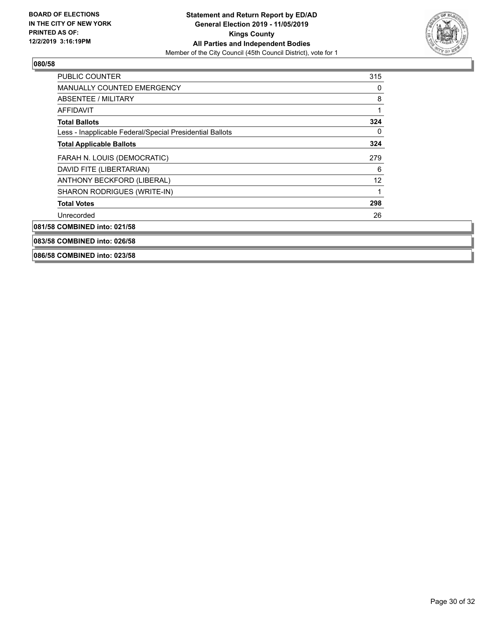

| <b>PUBLIC COUNTER</b>                                    | 315 |
|----------------------------------------------------------|-----|
| <b>MANUALLY COUNTED EMERGENCY</b>                        | 0   |
| ABSENTEE / MILITARY                                      | 8   |
| AFFIDAVIT                                                |     |
| <b>Total Ballots</b>                                     | 324 |
| Less - Inapplicable Federal/Special Presidential Ballots | 0   |
| <b>Total Applicable Ballots</b>                          | 324 |
| FARAH N. LOUIS (DEMOCRATIC)                              | 279 |
| DAVID FITE (LIBERTARIAN)                                 | 6   |
| ANTHONY BECKFORD (LIBERAL)                               | 12  |
| SHARON RODRIGUES (WRITE-IN)                              |     |
| <b>Total Votes</b>                                       | 298 |
| Unrecorded                                               | 26  |
| 081/58 COMBINED into: 021/58                             |     |
| 083/58 COMBINED into: 026/58                             |     |
| 086/58 COMBINED into: 023/58                             |     |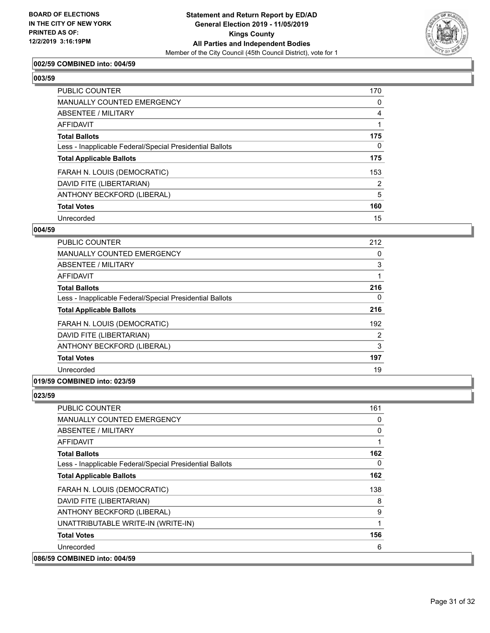

## **002/59 COMBINED into: 004/59**

#### **003/59**

| <b>PUBLIC COUNTER</b>                                    | 170 |
|----------------------------------------------------------|-----|
| <b>MANUALLY COUNTED EMERGENCY</b>                        | 0   |
| ABSENTEE / MILITARY                                      | 4   |
| AFFIDAVIT                                                |     |
| <b>Total Ballots</b>                                     | 175 |
| Less - Inapplicable Federal/Special Presidential Ballots | 0   |
| <b>Total Applicable Ballots</b>                          | 175 |
| FARAH N. LOUIS (DEMOCRATIC)                              | 153 |
| DAVID FITE (LIBERTARIAN)                                 | 2   |
| ANTHONY BECKFORD (LIBERAL)                               | 5   |
| <b>Total Votes</b>                                       | 160 |
| Unrecorded                                               | 15  |

#### **004/59**

| <b>PUBLIC COUNTER</b>                                    | 212 |
|----------------------------------------------------------|-----|
| <b>MANUALLY COUNTED EMERGENCY</b>                        | 0   |
| ABSENTEE / MILITARY                                      | 3   |
| AFFIDAVIT                                                |     |
| <b>Total Ballots</b>                                     | 216 |
| Less - Inapplicable Federal/Special Presidential Ballots | 0   |
| <b>Total Applicable Ballots</b>                          | 216 |
| FARAH N. LOUIS (DEMOCRATIC)                              | 192 |
| DAVID FITE (LIBERTARIAN)                                 | 2   |
| ANTHONY BECKFORD (LIBERAL)                               | 3   |
| <b>Total Votes</b>                                       | 197 |
| Unrecorded                                               | 19  |
|                                                          |     |

## **019/59 COMBINED into: 023/59**

| <b>PUBLIC COUNTER</b>                                    | 161 |
|----------------------------------------------------------|-----|
| <b>MANUALLY COUNTED EMERGENCY</b>                        | 0   |
| <b>ABSENTEE / MILITARY</b>                               | 0   |
| AFFIDAVIT                                                | 1   |
| <b>Total Ballots</b>                                     | 162 |
| Less - Inapplicable Federal/Special Presidential Ballots | 0   |
| <b>Total Applicable Ballots</b>                          | 162 |
| FARAH N. LOUIS (DEMOCRATIC)                              | 138 |
| DAVID FITE (LIBERTARIAN)                                 | 8   |
| ANTHONY BECKFORD (LIBERAL)                               | 9   |
| UNATTRIBUTABLE WRITE-IN (WRITE-IN)                       | 1   |
| <b>Total Votes</b>                                       | 156 |
| Unrecorded                                               | 6   |
| 086/59 COMBINED into: 004/59                             |     |